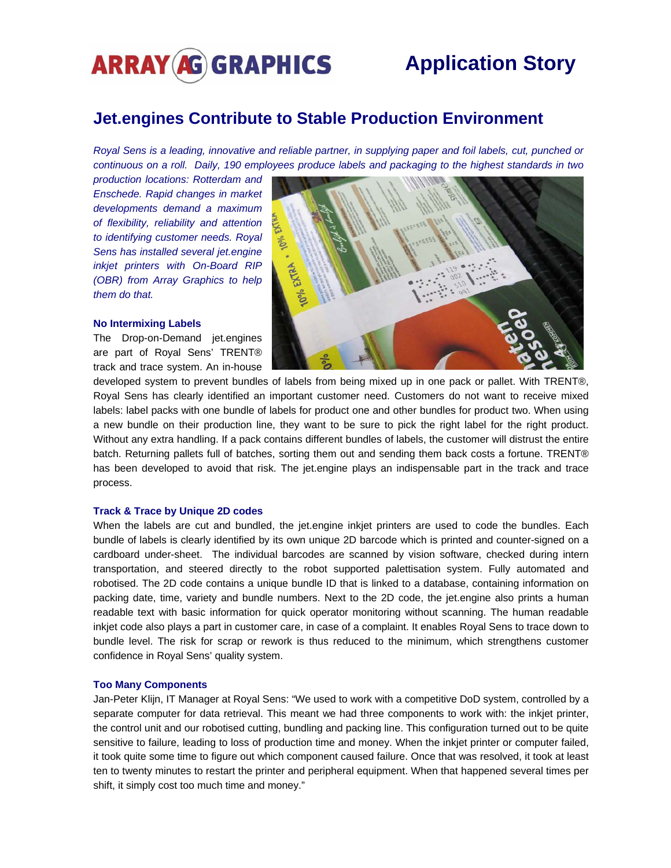# **ARRAY AG GRAPHICS** Application Story

# **Jet.engines Contribute to Stable Production Environment**

*Royal Sens is a leading, innovative and reliable partner, in supplying paper and foil labels, cut, punched or continuous on a roll. Daily, 190 employees produce labels and packaging to the highest standards in two* 

*production locations: Rotterdam and Enschede. Rapid changes in market developments demand a maximum of flexibility, reliability and attention to identifying customer needs. Royal Sens has installed several jet.engine inkjet printers with On-Board RIP (OBR) from Array Graphics to help them do that.* 

# **No Intermixing Labels**

The Drop-on-Demand jet.engines are part of Royal Sens' TRENT® track and trace system. An in-house



developed system to prevent bundles of labels from being mixed up in one pack or pallet. With TRENT®, Royal Sens has clearly identified an important customer need. Customers do not want to receive mixed labels: label packs with one bundle of labels for product one and other bundles for product two. When using a new bundle on their production line, they want to be sure to pick the right label for the right product. Without any extra handling. If a pack contains different bundles of labels, the customer will distrust the entire batch. Returning pallets full of batches, sorting them out and sending them back costs a fortune. TRENT® has been developed to avoid that risk. The jet.engine plays an indispensable part in the track and trace process.

# **Track & Trace by Unique 2D codes**

When the labels are cut and bundled, the jet.engine inkjet printers are used to code the bundles. Each bundle of labels is clearly identified by its own unique 2D barcode which is printed and counter-signed on a cardboard under-sheet. The individual barcodes are scanned by vision software, checked during intern transportation, and steered directly to the robot supported palettisation system. Fully automated and robotised. The 2D code contains a unique bundle ID that is linked to a database, containing information on packing date, time, variety and bundle numbers. Next to the 2D code, the jet.engine also prints a human readable text with basic information for quick operator monitoring without scanning. The human readable inkjet code also plays a part in customer care, in case of a complaint. It enables Royal Sens to trace down to bundle level. The risk for scrap or rework is thus reduced to the minimum, which strengthens customer confidence in Royal Sens' quality system.

# **Too Many Components**

Jan-Peter Klijn, IT Manager at Royal Sens: "We used to work with a competitive DoD system, controlled by a separate computer for data retrieval. This meant we had three components to work with: the inkjet printer, the control unit and our robotised cutting, bundling and packing line. This configuration turned out to be quite sensitive to failure, leading to loss of production time and money. When the inkjet printer or computer failed, it took quite some time to figure out which component caused failure. Once that was resolved, it took at least ten to twenty minutes to restart the printer and peripheral equipment. When that happened several times per shift, it simply cost too much time and money."